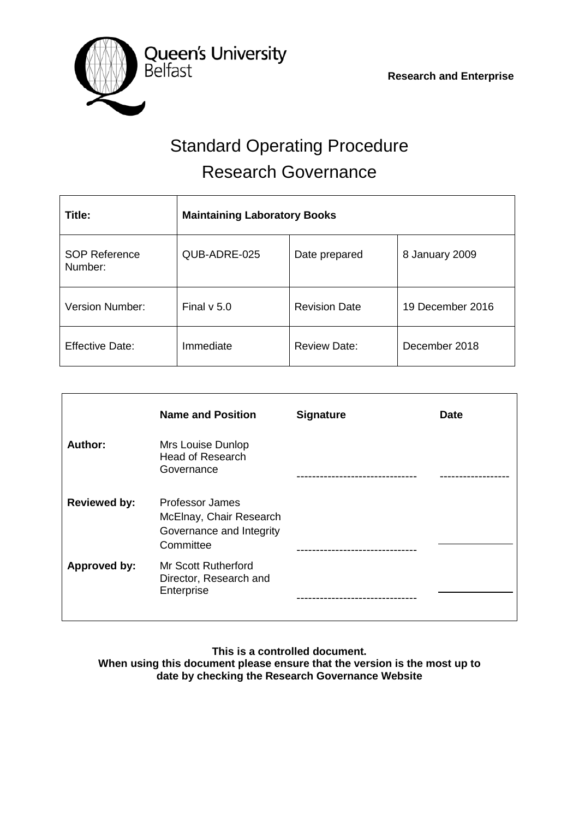

# Standard Operating Procedure Research Governance

| Title:                          | <b>Maintaining Laboratory Books</b> |                      |                  |
|---------------------------------|-------------------------------------|----------------------|------------------|
| <b>SOP Reference</b><br>Number: | QUB-ADRE-025                        | Date prepared        | 8 January 2009   |
| Version Number:                 | Final $v$ 5.0                       | <b>Revision Date</b> | 19 December 2016 |
| <b>Effective Date:</b>          | Immediate                           | <b>Review Date:</b>  | December 2018    |

|                     | <b>Name and Position</b>                                                                   | <b>Signature</b> | <b>Date</b> |
|---------------------|--------------------------------------------------------------------------------------------|------------------|-------------|
| Author:             | Mrs Louise Dunlop<br><b>Head of Research</b><br>Governance                                 |                  |             |
| <b>Reviewed by:</b> | <b>Professor James</b><br>McElnay, Chair Research<br>Governance and Integrity<br>Committee |                  |             |
| Approved by:        | <b>Mr Scott Rutherford</b><br>Director, Research and<br>Enterprise                         |                  |             |

**This is a controlled document. When using this document please ensure that the version is the most up to date by checking the Research Governance Website**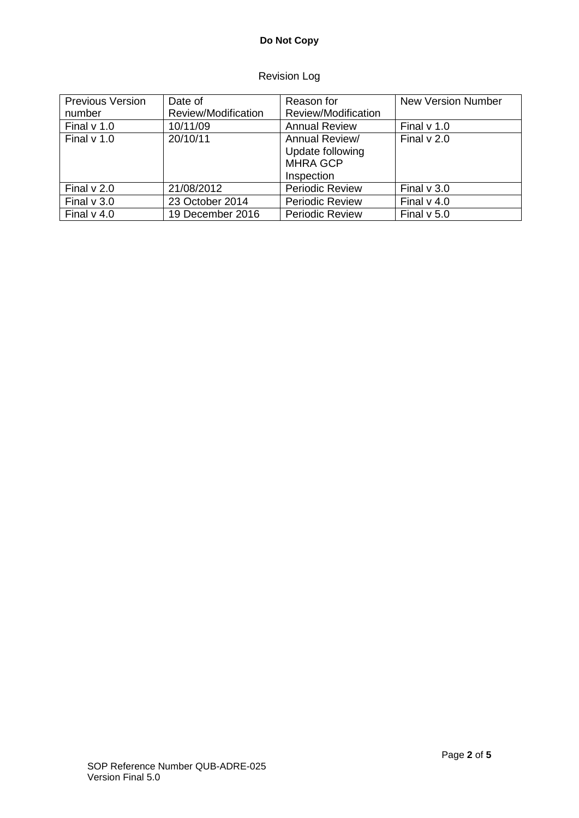# **Do Not Copy**

# Revision Log

| <b>Previous Version</b> | Date of             | Reason for                                                                 | <b>New Version Number</b> |
|-------------------------|---------------------|----------------------------------------------------------------------------|---------------------------|
| number                  | Review/Modification | Review/Modification                                                        |                           |
| Final $v$ 1.0           | 10/11/09            | <b>Annual Review</b>                                                       | Final $v$ 1.0             |
| Final $v$ 1.0           | 20/10/11            | <b>Annual Review/</b><br>Update following<br><b>MHRA GCP</b><br>Inspection | Final $v$ 2.0             |
| Final $v$ 2.0           | 21/08/2012          | <b>Periodic Review</b>                                                     | Final $v$ 3.0             |
| Final $v$ 3.0           | 23 October 2014     | <b>Periodic Review</b>                                                     | Final $v$ 4.0             |
| Final $v$ 4.0           | 19 December 2016    | <b>Periodic Review</b>                                                     | Final $v$ 5.0             |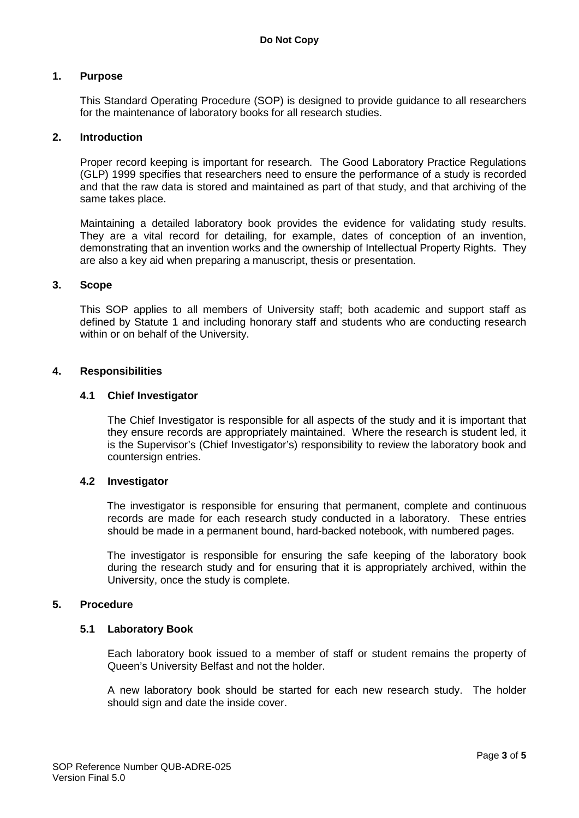# **1. Purpose**

This Standard Operating Procedure (SOP) is designed to provide guidance to all researchers for the maintenance of laboratory books for all research studies.

#### **2. Introduction**

Proper record keeping is important for research. The Good Laboratory Practice Regulations (GLP) 1999 specifies that researchers need to ensure the performance of a study is recorded and that the raw data is stored and maintained as part of that study, and that archiving of the same takes place.

Maintaining a detailed laboratory book provides the evidence for validating study results. They are a vital record for detailing, for example, dates of conception of an invention, demonstrating that an invention works and the ownership of Intellectual Property Rights. They are also a key aid when preparing a manuscript, thesis or presentation.

#### **3. Scope**

This SOP applies to all members of University staff; both academic and support staff as defined by Statute 1 and including honorary staff and students who are conducting research within or on behalf of the University.

#### **4. Responsibilities**

## **4.1 Chief Investigator**

The Chief Investigator is responsible for all aspects of the study and it is important that they ensure records are appropriately maintained. Where the research is student led, it is the Supervisor's (Chief Investigator's) responsibility to review the laboratory book and countersign entries.

#### **4.2 Investigator**

The investigator is responsible for ensuring that permanent, complete and continuous records are made for each research study conducted in a laboratory. These entries should be made in a permanent bound, hard-backed notebook, with numbered pages.

The investigator is responsible for ensuring the safe keeping of the laboratory book during the research study and for ensuring that it is appropriately archived, within the University, once the study is complete.

#### **5. Procedure**

#### **5.1 Laboratory Book**

Each laboratory book issued to a member of staff or student remains the property of Queen's University Belfast and not the holder.

A new laboratory book should be started for each new research study. The holder should sign and date the inside cover.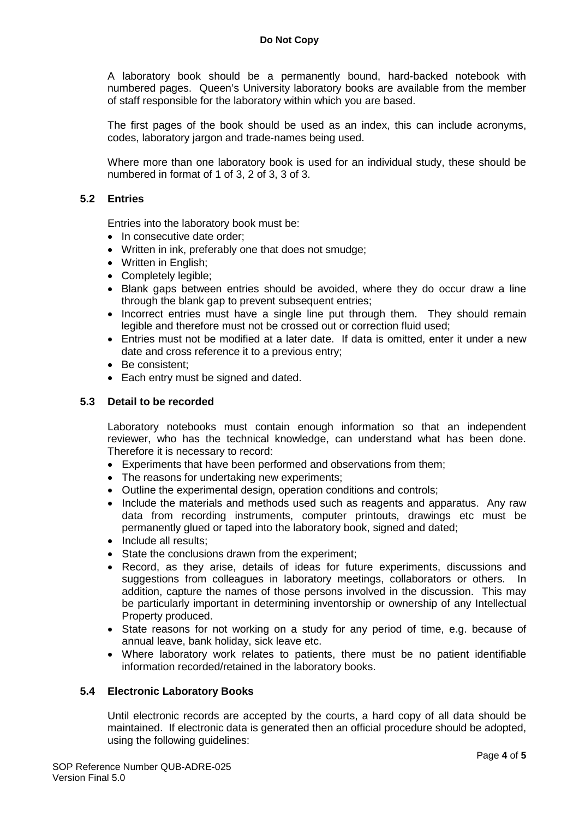A laboratory book should be a permanently bound, hard-backed notebook with numbered pages. Queen's University laboratory books are available from the member of staff responsible for the laboratory within which you are based.

The first pages of the book should be used as an index, this can include acronyms, codes, laboratory jargon and trade-names being used.

Where more than one laboratory book is used for an individual study, these should be numbered in format of 1 of 3, 2 of 3, 3 of 3.

# **5.2 Entries**

Entries into the laboratory book must be:

- In consecutive date order;
- Written in ink, preferably one that does not smudge;
- Written in English;
- Completely legible:
- Blank gaps between entries should be avoided, where they do occur draw a line through the blank gap to prevent subsequent entries;
- Incorrect entries must have a single line put through them. They should remain legible and therefore must not be crossed out or correction fluid used;
- Entries must not be modified at a later date. If data is omitted, enter it under a new date and cross reference it to a previous entry;
- Be consistent;
- Each entry must be signed and dated.

## **5.3 Detail to be recorded**

Laboratory notebooks must contain enough information so that an independent reviewer, who has the technical knowledge, can understand what has been done. Therefore it is necessary to record:

- Experiments that have been performed and observations from them;
- The reasons for undertaking new experiments:
- Outline the experimental design, operation conditions and controls;
- Include the materials and methods used such as reagents and apparatus. Any raw data from recording instruments, computer printouts, drawings etc must be permanently glued or taped into the laboratory book, signed and dated;
- Include all results:
- State the conclusions drawn from the experiment:
- Record, as they arise, details of ideas for future experiments, discussions and suggestions from colleagues in laboratory meetings. collaborators or others. In suggestions from colleagues in laboratory meetings, collaborators or others. addition, capture the names of those persons involved in the discussion. This may be particularly important in determining inventorship or ownership of any Intellectual Property produced.
- State reasons for not working on a study for any period of time, e.g. because of annual leave, bank holiday, sick leave etc.
- Where laboratory work relates to patients, there must be no patient identifiable information recorded/retained in the laboratory books.

#### **5.4 Electronic Laboratory Books**

Until electronic records are accepted by the courts, a hard copy of all data should be maintained. If electronic data is generated then an official procedure should be adopted, using the following guidelines: